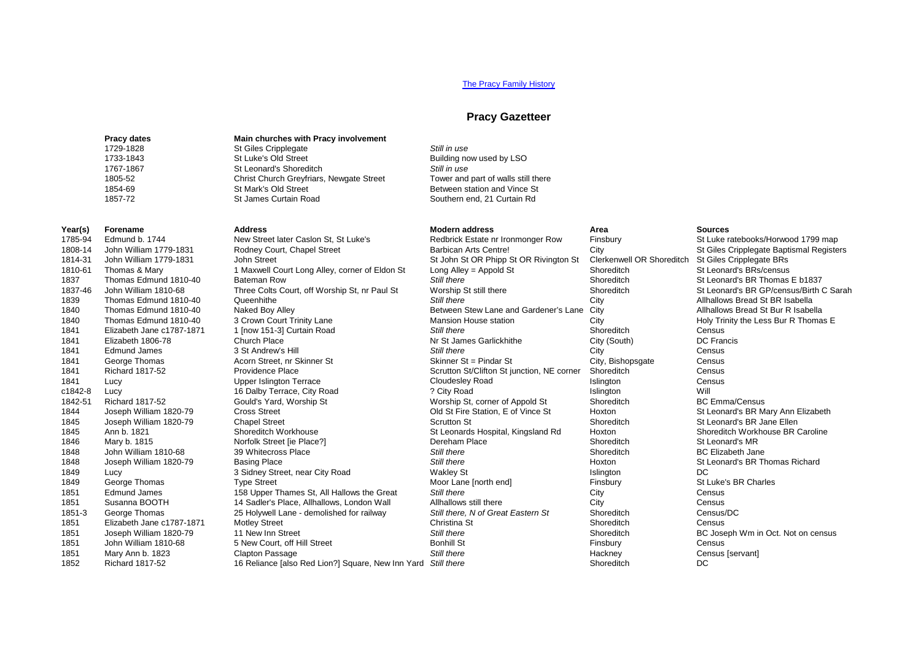## [The Pracy Family History](http://www.hagger.org/documents/PracyHistory.pdf)

### **Pracy Gazetteer**

Southern end, 21 Curtain Rd

**Pracy dates Main churches with Pracy involvement**<br>1729-1828 **St Giles Cripplegate** 1733-1843 St Luke's Old Street State Building now used by LSO<br>1767-1867 St Leonard's Shoreditch Store Still in use Still in use 1767-1867 **St Leonard's Shoreditch** *Still in use Still in use*<br>1805-52 **Strip** *Shoreditch Grevitiars* Newgate Street Tower and part of walls still there 1854-69 1854-69 St Mark's Old Street Between station and Vince St Mark's Old Street Between station and Vince St<br>1857-72 St James Curtain Road St Southern end. 21 Curtain Rd

# 1729 St Giles Cripplegate<br>
1729 St Luke's Old Street<br>
1729 St Luke's Old Street Christ Church Greyfriars, Newgate Street

## 1785-94 Edmund b. 1744 New Street later Caslon St, St Luke's Redbrick Estate nr Ironmonger Row Finsbury St Luke ratebooks/Horwood 1799 map<br>1808-14 John William 1779-1831 Rodney Court. Chapel Street Barbican Arts Centre! Ci 1808-14 John William 1779-1831 Rodney Court, Chapel Street Barbican Arts Centre! City City St Giles Cripplegate Baptismal Registers Court, Chapel Street Barbican Arts Centre! City St Giles Cripplegate Baptismal Registers S 1814-31 John William 1779-1831 John Street Street St John St John St OR Phipp St OR Rivington St Clerkenwell OR Shoreditch St Giles Cripplegate BRs<br>1910-61 Thomas & Mary 1956 St John Alley corner of Fldon St Long Alley = A 1810-61 Thomas & Mary 1 Maxwell Court Long Alley, corner of Eldon St Long Alley = Appold St Shoreditch Shoreditch St Long Alley = Appold St Shoreditch Storeditch St Long Alley = Appold St Shoreditch Storeditch Storeditch S 1837 Thomas Edmund 1810-40 Bateman Row **Still there** Still there Shoreditch Shoreditch St Leonard's BR Thomas E b1837<br>1837-46 John William 1810-68 Three Colts Court. off Worship St. nr Paul St Worship St still there Shored 1837-46 John William 1810-68 Three Colts Court, off Worship St, nr Paul St Worship St still there Shoreditch Shoreditch St Leonard's Brotanics Brotanics City City C Shoreditch Still there Still there C City C Still there C 1839 Thomas Edmund 1810-40 Queenhithe *Still there* City Allhallows Bread St BR Isabella 1840 Thomas Edmund 1810-40 Naked Boy Alley Between Stew Lane and Gardener's Lane City 1840 1990 1840 1810-40 1<br>1840 Thomas Edmund 1810-40 3 Crown Court Trinity Lane 1990 Mansion House station 1840 Thomas Edmund 1810-40 3 Crown Court Trinity Lane Mansion House station City City Holy Trinity the Less Bur R Thomas E<br>1841 Flizabeth Jane c1787-1871 1 Inow 151-31 Curtain Road Still there Shoredich Shoreditch Census 1841 Elizabeth Jane c1787-1871 1 [now 151-3] Curtain Road *Still there* Shoreditch Census 1841 Elizabeth 1806-78 Church Place Nr St James Garlickhithe City (South) DC Francis 1841 Edmund James 3 St Andrew's Hill *Still there* City Census 1841 George Thomas **1841** George Thomas Acorn Street, nr Skinner St Skinner St and Skinner St = Pindar St and Street, Census Census<br>1841 Richard 1817-52 **Providence Place** Provensive Census Scrutton St/Clifton St iunction. 1841 Richard 1817-52 Providence Place Scrutton St/Clifton St junction, NE corner Shoreditch Census<br>1841 Lucy Scrutton Strutton Strutton Strutton Strutton Strutton Strutton, NE corner Shoreditch Census Census 1841 Lucy Upper Islington Terrace Cloudesley Road Islington Census community of the Dalby Terrace, City Road and Microsoft City Road and Microsoft City Road and Microsoft City Road islington and the United States of Appoint Shoreditch Richard 1817-52 (Gould's Yard Worship St 1842-51 Richard 1817-52 **Gould's Yard, Worship St** Worship St, corner of Appold St Shoreditch BC Emma/Census<br>1844 Joseph William 1820-79 Cross Street Street Station, E of Vince St Hoxton St Leonard's BR M 1845 Joseph William 1820-79 Chapel Street Street Scrutton St Scrutton St Shoreditch St St Leonard's BR Jane Ellen 1845 Ann b. 1821 Shoreditch Workhouse St Leonards Hospital, Kingsland Rd Hoxton Shoreditch Workhouse BR Caroline<br>1846 Mary b. 1815 St Leonard's MR Norfolk Street lie Place? Dereham Place Shoreditch St Leonard's MR St Leona 1846 Mary b. 1815 **Mary 1816** Norfolk Street [ie Place?] Dereham Place Shoreditch Shoreditch St Leonard's MR<br>1848 John William 1810-68 39 Whitecross Place Still there Still there Shoreditch Shoreditch BC Elizabeth Jane 1848 John William 1810-68 39 Whitecross Place **State BC Still there** Still there Shoreditch Shoreditch BC Elizabeth Jane 1848 Joseph William 1820-79 Basing Place **State Account Still there** Still there Hoxton St Leonard's BR Thomas Richard 1849 Lucy Lucy Shamas and Sidney Street, near City Road Makley St Wakley St Street in the Street of the United<br>1849 George Thomas Type Street The Street Moor Lane Inorth end Finsbury Finsbury Struke's BR Charles 1849 George Thomas Type Street The Street Moor Lane [north end] Finsbury St Luke's BR Charles 1851 Edmund James 158 Upper Thames St. All Hallows the Great Still there City City Census City 1851 Susanna BOOTH 14 Sadler's Place, Allhallows, London Wall Allhallows still there City City Census Census<br>1851-3 George Thomas 25 Holywell Lane - demolished for railway Still there. N of Great Eastern St Shoreditch Cens 25 Holywell Lane - demolished for railway 1851 Elizabeth Jane c1787-1871 Motley Street Census Christina St Christina St Christina St Christina St Shoreditch Census<br>1851 Joseph William 1820-79 11 New Inn Street Christina Still there Still there Shoreditch Christian 1851 Joseph William 1820-79 11 New Inn Street *Still there* Shoreditch BC Joseph Wm in Oct. Not on census 1851 John William 1810-68 5 New Court, off Hill Street Bonhill St Bonhill St Finsbury Census Census 1851 Mary Ann b. 1823 Clapton Passage *Still there* Hackney Census [servant]

**Year(s) Forename Address Modern address Area Sources** 1844 Cross Street 2013-1820-1820-1820-79 Cross Street Chapel Street 2014 Strutton St Chapel Street Chapel Street Chapel Street Chapel Street Shoreditch Strutton St Strutton St Shoreditch Shoreditch Strutton St Strutton St 1852 Richard 1817-52 16 Reliance [also Red Lion?] Square, New Inn Yard Still there Shoreditch Shoreditch DC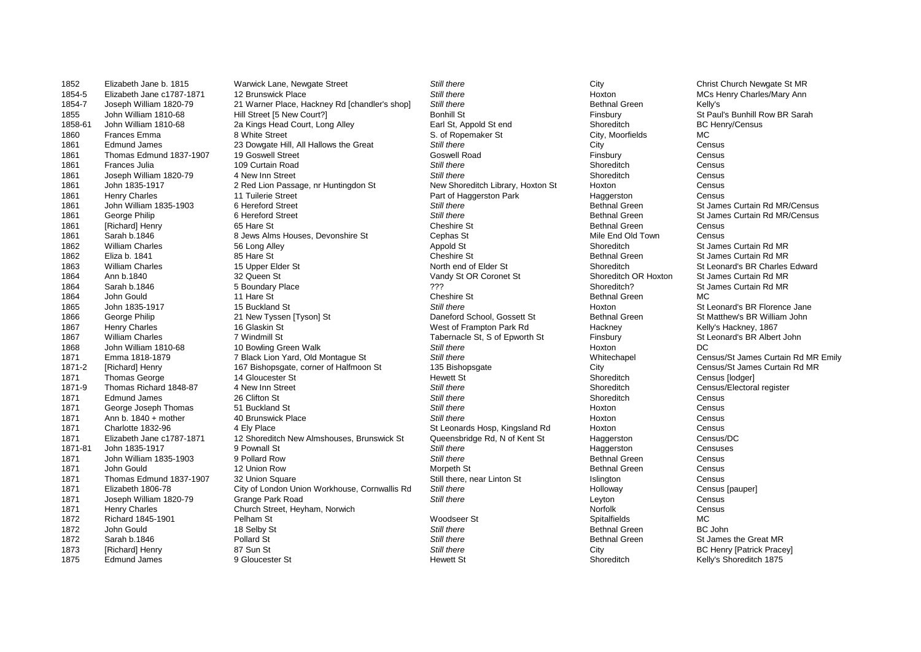1852 Elizabeth Jane b. 1815 Warwick Lane, Newgate Street *Still there* City Christ Church Newgate St MR 1854-7 Joseph William 1820-79 21 Warner Place, Hackney Rd [chandler's shop] *Still there* Bethnal Green Bethnal Green Kelly's<br>1855 John William 1810-68 Hill Street [5 New Court?] Bonhill St Bonhill St St Preu 1855 John William 1810-68 Hill Street [5 New Court?] Bonhill St Bonhill St Finsbury Finsbury St Paul's Bunhill Row BR Sarah<br>1858-61 John William 1810-68 2a Kings Head Court. Long Alley Earl St. Appold St end Shoreditch BC 1958 John William 1810-68 2a Kings Head Court, Long Alley Earl St, Appold St end Shoreditch Shoreditch BC Henry<br>18 Burney Earl St Gity, Moorfields BC Henry St St St St St St St St City, Moorfields 1860 Frances Emma 8 White Street S. of Ropemaker St City, Moorfields MC 1861 Edmund James 23 Dowgate Hill, All Hallows the Great Still there Still there City City Census<br>1861 Thomas Edmund 1837-1907 19 Goswell Street Street Goswell Road Goswell Road Census Census 1861 Thomas Edmund 1837-1907 19 Goswell Street Street Goswell Road Goswell Road Finsbury Coswell Road Finsbury<br>19 Goswell Road Shoreditch Street Street Street Street Street Street Shoreditch Shoreditch Shoreditch 1861 Frances Julia 109 Curtain Road **109 Curtain Road Census Communist Census** Shoreditch Census 1861 Joseph William 1820-79 4 New Inn Street *Still there* Shoreditch Census 1861 John 1835-1917 2 Red Lion Passage, nr Huntingdon St New Shoreditch Library, Hoxton St Hoxton Census Census<br>1861 Henry Charles 11 Tuilerie Street Street Part of Haggerston Park Haggerston Census 1861 Henry Charles **11 Tuilerie Street Community Community Part of Haggerston Park Haggerston Park Haggerston** Census 1861 John William 1835-1903 6 Hereford Street *Still there* Bethnal Green St James Curtain Rd MR/Census 1861 George Philip 1861 George Philip 1861 George Philip 1861 George Philip 1866 George Philip 1866 Curtain Rd MR/Census<br>1861 George Philip 1861 Gold and State State State State 1861 Census Consumer Census Census Census Ce 1861 [Richard] Henry 65 Hare St Cheshire St Bethnal Green Census 1861 Sarah b.1846 8 Jews Alms Houses, Devonshire St Cephas St Mile End Old Town Census 1862 William Charles 56 Long Alley Appold St Shoreditch St James Curtain Rd MR 1862 Eliza b. 1841 85 Hare St Cheshire St Bethnal Green St James Curtain Rd MR 1863 William Charles 15 Upper Elder St North end of Elder St North end of Elder St Shoreditch St Leonard's BR Charles Edward<br>1864 Ann b 1840 St James Curtain Rd MR 1864 Ann b.1840 32 Queen St Vandy St OR Coronet St Shoreditch OR Hoxton St James Curtain Rd MR 1864 Sarah b.1846 5 Boundary Place ??? Shoreditch? St James Curtain Rd MR 1864 John Gould 11 Hare St Cheshire St Bethnal Green MC 1865 John 1835-1917 15 Buckland St 15 Still there Still there Still there Hoxton Stroman Stephen Stephen Stephen<br>1866 George Philip 21 New Tyssen ITyson St 1886 Daneford School. Gossett St Bethnal Green St Matthew's BR Wil 1866 George Philip 21 New Tyssen [Tyson] St Daneford School, Gossett St Bethnal Green St Matthew's BR William 1867<br>1867 Henry Charles 16 Glaskin St 16 Glaskin St St St West of Frampton Park Rd Hackney Hackney Kelly's Hackn 1867 Henry Charles 16 Glaskin St West of Frampton Park Rd Hackney Kelly's Hackney, 1867 1867 William Charles **7** Windmill St 7 Windmill St Tabernacle St, S of Epworth St Finsbury St Leonard's BR Albert John<br>1868 John William 1810-68 10 Bowling Green Walk Still there Still there Hoxton Hoxton 1868 John William 1810-68 10 Bowling Green Walk **Still there** Still there and the Hoxton DC<br>1871 Emma 1818-1879 1987 7 Black Lion Yard, Old Montaque St Still there Still there the Mittechapel Cer 1871 Emma 1818-1879 7 Black Lion Yard, Old Montague St *Still there* Still there Whitechapel Census/St James Curtain Rd MR Emily<br>1871-2 [Richard] Henry 167 Bishopsgate, corner of Halfmoon St 135 Bishopsgate City City Censu 1871-2 [Richard] Henry 167 Bishopsgate, corner of Halfmoon St 135 Bishopsgate City City Census/St James Census/St James Census/St James Census/St James Curtain Revert St 14 Gloucester St 14 Curtain Revert St Curtain Revert 1871 Thomas George 14 Gloucester St Hewett St Shoreditch Census [lodger] 1871-9 Thomas Richard 1848-87 4 New Inn Street **1848-87** 1871-9 Shoreditch Census/Electoral register<br>1871 Folmund James 26 Clifton St 1871 Edmund James 26 Clifton St *Still there* Shoreditch Census 1871 George Joseph Thomas 51 Buckland St<br>1871 Ann b. 1840 + mother 40 Brunswick Place **State Census** Still there Still there Still there Hoxton Census Census 1871 Ann b. 1840 + mother 40 Brunswick Place *Still there* Census 1871 Charlotte 1832-96 4 Ely Place 4 Ely Place St Leonards Hosp, Kingsland Rd Hoxton Census Census<br>1871 Elizabeth Jane c1787-1871 12 Shoreditch New Almshouses, Brunswick St Queensbridge Rd, N of Kent St Haggerston 1871 Elizabeth Jane c1787-1871 12 Shoreditch New Almshouses, Brunswick St Queensbridge Rd, N of Kent St Haggerston Census/Du<br>1871-81 John 1835-1917 9 Pownall St Still there Still there Still there Still there 1871-81 John 1835-1917 9 Pownall St *Still there* Haggerston Censuses 1871 John William 1835-1903 9 Pollard Row *Still there* Bethnal Green Census 1871 John Gould 12 Union Row Morpeth St Bethnal Green Census 1871 Thomas Edmund 1837-1907 32 Union Square Still there, near Linton St Still there, near Linton St Still there, near Linton St Still there, near Linton St Still there is a still there of the Union St Tensus Isauperl<br>1871 1871 Elizabeth 1806-78 City of London Union Workhouse, Cornwallis Rd Still there **Holloway** Holloway Census Census<br>1871 Joseph William 1820-79 Grange Park Road Still there Still there Still there Levton Levton 1871 Joseph William 1820-79 Grange Park Road *Still there* Leyton Census 1871 Henry Charles Church Street, Heyham, Norwich North Census Census Census Census<br>1872 Richard 1845-1901 Pelham Street, Heyham, Norwich North Woodseer St North Spitalfields MC 1872 Richard 1845-1901 Pelham St Woodseer St Spitalfields MC 1872 John Gould 18 Selby St *Still there* Bethnal Green BC John 1872 Sarah b.1846 **Pollard St** Pollard St **Still there** Still there Stephan Bethnal Green St James the Great MR 1873 [Richard] Henry **87 Sun Still there** Still there City **City** BC Henry [Patrick Pracey] 1875 Edmund James 9 Gloucester St Hewett St Shoreditch Kelly's Shoreditch 1875

**MCs Henry Charles/Mary Ann**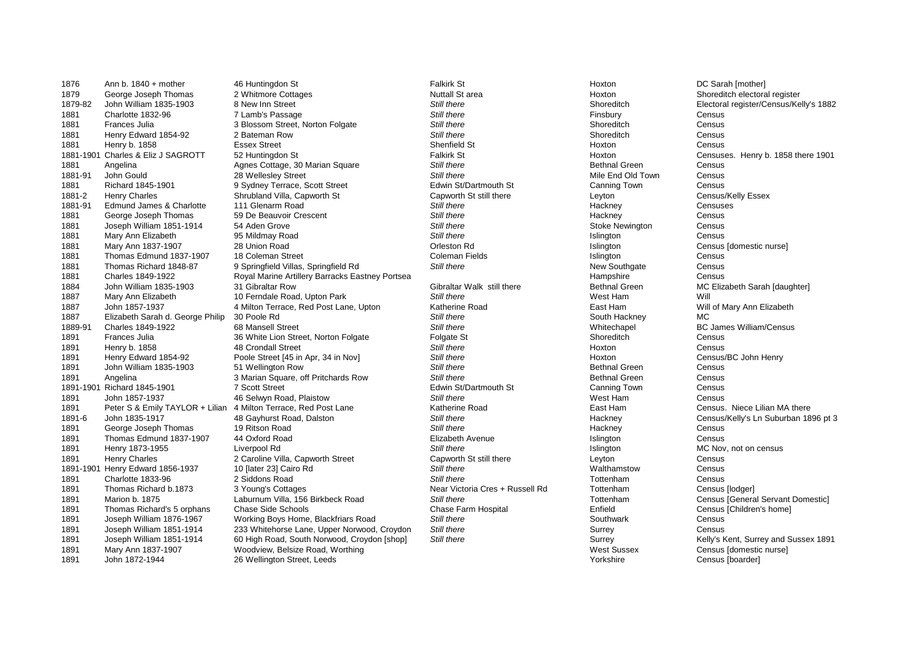1876 Ann b. 1840 + mother 46 Huntingdon St Falkirk St DC Sarah [mother] 1891 Joseph William 1876-1967 Working Boys Home, Blackfriars Road 1891 Mary Ann 1837-1907 Woodview, Belsize Road, Worthing

1879 George Joseph Thomas 2 Whitmore Cottages Nuttall St area Nuttall St area Hoxton Shoreditch electoral register 1879-82 John William 1835-1903 8 New Inn Street **State of Still there** Still there Shoreditch Electoral register/Census/Kelly's 1882<br>1881 Charlotte 1832-96 7 Lamb's Passage Still there Still there Finsbury Census 1881 Charlotte 1832-96 7 Lamb's Passage *Still there* Finsbury Census 1881 Frances Julia 1854-92 18 Blossom Street, Norton Folgate **Still there** Still there Shoreditch Shoreditch Census<br>1881 Henry Edward 1854-92 2 Bateman Row Still there Still there Shoreditch Shoreditch Census 1881 Henry Edward 1854-92 2 Bateman Row *Still there* Shoreditch Census 1881 Henry b. 1858 Essex Street Shenfield St Hoxton Census 1881-1901 Charles & Eliz J SAGROTT 52 Huntingdon St **Falkirk St** Falkirk St **Hoxton Censuses. Henry b. 1858 there 1901**<br>1881 Angelina Bundes Cottage. 30 Marian Square Still there Still there Bethnal Green Census 1881 Angelina **Agnes Cottage, 30 Marian Square** Still there Still there **Bethnal Green Census** Census<br>1881-91 John Gould Census 28 Welleslev Street Street Still there Still there Still there Mile End Old Town Census 1881-91 John Gould 28 Wellesley Street *Still there* Mile End Old Town Census 1881 Richard 1845-1901 9 Sydney Terrace, Scott Street Edwin St/Dartmouth St Canning Town Census<br>1881-2 Henry Charles Shrubland Villa. Capworth St Capworth St still there Levton Levton Census/Kelly Essex 1881-2 Henry Charles Shrubland Villa, Capworth St Capworth St still there Leyton Leyton Census/Kelly Census<br>1881-91 Edmund James & Charlotte 111 Glenarm Road Still there Still there Still there Hackney Hackney Censuses 1881-91 Edmund James & Charlotte 111 Glenarm Road **Still there** Still there **Still there** Hackney Hackney Censuses<br>1881 George Joseph Thomas 59 De Beauvoir Crescent Still there Still there Still there Hackney Hackney Censu 1881 George Joseph Thomas 59 De Beauvoir Crescent<br>
1881 Joseph William 1851-1914 54 Aden Grove **Still there** 1881 Joseph William 1851-1914 54 Aden Grove **1892 Still there** Stoke Newington Stoke Newington Census<br>1881 Mary Ann Elizabeth 95 Mildmay Road Still there Still there Still there Still there Stoke Newington Census 1881 Mary Ann Elizabeth 95 Mildmay Road *Still there* Islington Census 1881 Mary Ann 1837-1907 28 Union Road Orleston Rd Islington Census [domestic nurse] 1881 Thomas Edmund 1837-1907 18 Coleman Street Coleman Fields Coleman Fields Thomas Islington Census Census<br>1881 Thomas Richard 1848-87 9 Springfield Villas. Springfield Rd Still there Still there Coleman Tields New Southg 1881 Thomas Richard 1848-87 9 Springfield Villas, Springfield Rd<br>1881 Charles 1849-1922 Roval Marine Artillery Barracks Fastney Portsea **Still there** New Southgate Census Census 1881 Charles 1849-1922 Royal Marine Artillery Barracks Eastney Portsea Hampshire Census 1884 John William 1835-1903 31 Gibraltar Row Gibraltar Walk still there Bethnal Green MC Elizabeth Sarah [daughter]<br>1887 Mary Ann Elizabeth 10 Ferndale Road. Upton Park Still there Still there West Ham Will Will ng 1887 Mary Ann Elizabeth 10 Ferndale Road, Upton Park 1987 Still there 1988 Still there 1988 Mest Ham 1897 Mill of Mary Ann Elizabeth 1887<br>1887 John 1857-1937 1897 A Milton Terrace, Red Post Lane, Upton 1898 Katherine Ro 1887 John 1857-1937 1987 1887 4 Milton Terrace, Red Post Lane, Upton Katherine Road The Sast Ham Will of Mary Ann Elizabeth Sarah d. George Philip 30 Poole Rd<br>The Mary Ann Elizabeth Sarah d. George Philip 30 Poole Rd 1887 Elizabeth Sarah d. George Philip 30 Poole Rd<br>1889-91 Charles 1849-1922 68 Mansell Street Still there Still there Still there Mittechapel BC James William/Census 1889-91 Charles 1849-1922 68 Mansell Street Whitechapel BC James William/Census 1891 Frances Julia **1891 Frances Julia 1891 Frances Census** Solvetic Street, Norton Folgate Street Folgate Street<br>1891 Henry b. 1858 **1892 1894 AB Crondall Street** Street Street Street Street Street Street Street Street Ce 1891 Henry b. 1858 48 Crondall Street S*till there* Census 1891 Henry Edward 1854-92 Poole Street [45 in Apr, 34 in Nov] *Still there* Still there Hoxton Henry Census/BC John Henry Census/BC John Henry Census/BC John Henry Census/BC John Henry Census Still there Still there Still 1891 John William 1835-1903 51 Wellington Row *Still there* Bethnal Green Census 1891 Angelina 3Narian Square, off Pritchards Row *Still there* Still there **Bethnal Green Census** Census<br>1891-1901 Richard 1845-1901 7 Scott Street Census **Census** Edwin St/Dartmouth St Canning Town Census 1891-1901 Richard 1845-1901 **7 Scott Street 1845-1901** 7 Scott Street Edwin St/Dartmouth St Canning Town Canning To<br>1891 1891 John 1857-1937 1897 1897 1898 Ham 1891 John 1857-1937 **1898** 46 Selwyn Road, Plaistow **1898** Still there Still there Still there Still there West Ham Census Niece Lilian MA there Census Niece Lilian MA there Census Niece Lilian MA there Census Niece Lilian 1891 Peter S & Emily TAYLOR + Lilian 4 Milton Terrace, Red Post Lane Katherine Road Katherine Road East Han Census. Niete Lilian 48 Gayhurst Road, Dalston Census. Niete Chan Still there Subminity Channey Hackney 18 Gayhurst Road, Dalston **1896** pt 3<br>19 Ritson Road **Census/Kelly's Ln Suburban 1896** pt 3<br>19 Ritson Road **Census** Census 1891 George Joseph Thomas 19 Ritson Road *Still there* Hackney Census 1891 Thomas Edmund 1837-1907 44 Oxford Road **Elizabeth Avenue** Elizabeth Avenue **Interpretation Census** Census<br>1891 Henry 1873-1955 Liverpool Rd **Elizabeth Avenue Still there** Still there **Interpretation** Islington MC Nov, 1891 Henry 1873-1955 Liverpool Rd *Still there* Islington MC Nov, not on census 1891 Henry Charles 2 Caroline Villa, Capworth Street Capworth St still there Leyton Leyton Census<br>1891-1901 Henry Edward 1856-1937 10 llater 231 Cairo Rd Structure Capworth St still there Capsus Walthamstow Census 1891-1901 Henry Edward 1856-1937 10 [later 23] Cairo Rd *Still there* Walthamstow Census 1891 Charlotte 1833-96 2 Siddons Road *Still there* Tottenham Census 1891 Thomas Richard b.1873 3 Young's Cottages (39 | Stear Victoria Cres + Russell Rd Tottenham | Census [lodger]<br>1891 Marion b. 1875 | Laburnum Villa. 156 Birkbeck Road | Still there Still there | Tottenham | Census Genera 1891 Marion b. 1875 **1891** Laburnum Villa, 156 Birkbeck Road *Still there* Still there The Still there The Tottenham Census [General Servant 1891 Tottenham Census [General Servant 1891 Tottenham Census [Census IChildren's 1891 Thomas Richard's 5 orphans Chase Side Schools **Chase Chase Farm Hospital Chase Farm Hospital** Enfield Census<br>1891 Joseph William 1876-1967 Working Boys Home, Blackfriars Road Still there Still there Southwark Southwar 1891 Joseph William 1851-1914 233 Whitehorse Lane, Upper Norwood, Croydon Still there Surrey Surrey Surrey Census 1891 Joseph William 1851-1914 60 High Road, South Norwood, Croydon [shop] *Still there* Surrey Surrey Surrey Surrey Kelly's Kent, Surrey and Sussex 1891<br>1891 Mary Ann 1837-1907 Woodview, Belsize Road, Worthing 1891 John 1872-1944 26 Wellington Street, Leeds 2001 1892 1892 1894 2012 1894 1894 2013